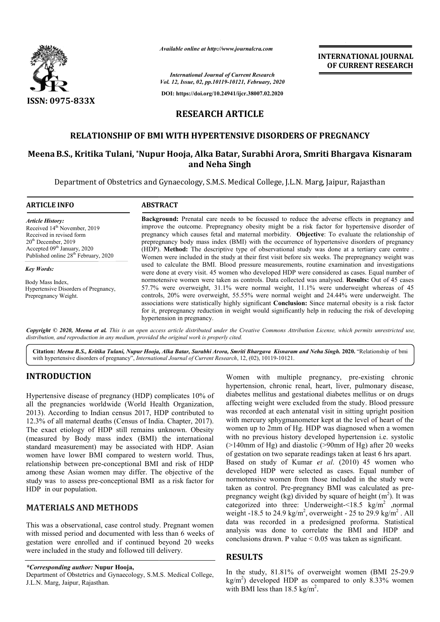

*Available online at http://www.journalcra.com*

*International Journal of Current Research Vol. 12, Issue, 02, pp.10119-10121, February, 2020*

**DOI: https://doi.org/10.24941/ijcr.38007.02.2020**

# **INTERNATIONAL JOURNAL OF CURRENT RESEARCH**

# **RESEARCH ARTICLE**

# **RELATIONSHIP OF BMI WITH HYPERTENSIVE DISORDERS OF PREGNANCY**

## **MeenaB.S., Kritika Tulani, \*Nupur Nupur Hooja, Alka Batar, Surabhi Arora, Smriti Bhargava Kisnaram and Neha Singh**

Department of Obstetrics and Gynaecology, S.M.S. Medical College, J.L.N. Marg, Jaipur, Rajasthan

| <b>ARTICLE INFO</b>                                                                                                                                                                                                     | <b>ABSTRACT</b>                                                                                                                                                                                                                                                                                                                                                                                                                                                                                                                                                                                                    |
|-------------------------------------------------------------------------------------------------------------------------------------------------------------------------------------------------------------------------|--------------------------------------------------------------------------------------------------------------------------------------------------------------------------------------------------------------------------------------------------------------------------------------------------------------------------------------------------------------------------------------------------------------------------------------------------------------------------------------------------------------------------------------------------------------------------------------------------------------------|
| <b>Article History:</b><br>Received 14 <sup>th</sup> November, 2019<br>Received in revised form<br>$20th$ December, 2019<br>Accepted 09 <sup>th</sup> January, 2020<br>Published online 28 <sup>th</sup> February, 2020 | <b>Background:</b> Prenatal care needs to be focussed to reduce the adverse effects in pregnancy and<br>improve the outcome. Prepregnancy obesity might be a risk factor for hypertensive disorder of<br>pregnancy which causes fetal and maternal morbidity. Objective: To evaluate the relationship of<br>prepregnancy body mass index (BMI) with the occurrence of hypertensive disorders of pregnancy<br>(HDP). Method: The descriptive type of observational study was done at a tertiary care centre.<br>Women were included in the study at their first visit before six weeks. The prepregnancy weight was |
| <b>Key Words:</b><br>Body Mass Index,                                                                                                                                                                                   | used to calculate the BMI. Blood pressure measurements, routine examination and investigations<br>were done at every visit. 45 women who developed HDP were considered as cases. Equal number of<br>normotensive women were taken as controls. Data collected was analysed. Results: Out of 45 cases                                                                                                                                                                                                                                                                                                               |
| Hypertensive Disorders of Pregnancy,<br>Prepregnancy Weight.                                                                                                                                                            | 57.7% were overweight, 31.1% were normal weight, 11.1% were underweight whereas of 45<br>controls, 20% were overweight, 55.55% were normal weight and 24.44% were underweight. The<br>associations were statistically highly significant Conclusion: Since maternal obesity is a risk factor<br>for it, prepregnancy reduction in weight would significantly help in reducing the risk of developing<br>hypertension in pregnancy.                                                                                                                                                                                 |

Copyright © 2020, Meena et al. This is an open access article distributed under the Creative Commons Attribution License, which permits unrestricted use, *distribution, and reproduction in any medium, provided the original work is properly cited.*

Citation: Meena B.S., Kritika Tulani, Nupur Hooja, Alka Batar, Surabhi Arora, Smriti Bhargava Kisnaram and Neha Singh. 2020. "Relationship of bmi with hypertensive disorders of pregnancy", *International Journal of Current Research*, 12, (02), 10119-10121.

# **INTRODUCTION**

Hypertensive disease of pregnancy (HDP) complicates 10% of all the pregnancies worldwide (World Health Organization, 2013). According to Indian census 2017, HDP contributed to 12.3% of all maternal deaths (Census of India. Chapter, 2017). The exact etiology of HDP still remains unknown. Obesity (measured by Body mass index (BMI) the international standard measurement) may be associated with HDP. Asian women have lower BMI compared to western world. Thus, relationship between pre-conceptional BMI and risk of HDP among these Asian women may differ. The objective of the study was to assess pre-conceptional BMI as a risk factor for HDP in our population.

# **MATERIALS AND METHODS**

This was a observational, case control study. Pregnant women with missed period and documented with less than 6 weeks of gestation were enrolled and if continued beyond 20 weeks were included in the study and followed till delivery.

*\*Corresponding author:* **Nupur Hooja,**

Department of Obstetrics and Gynaecology, S.M.S. Medical College, J.L.N. Marg, Jaipur, Rajasthan.

Women with multiple pregnancy, pre-existing chronic hypertension, chronic renal, heart, liver, pulmonary disease, diabetes mellitus and gestational diabetes mellitus or on drugs affecting weight were excluded from the study. Blood pressure was recorded at each antenatal visit in sitting upright position with mercury sphygmanometer kept at the level of heart of the women up to 2mm of Hg. HDP was diagnosed when a women with no previous history developed hypertension i.e. systolic (>140mm of Hg) and diastolic (>90mm of Hg) after 20 weeks of gestation on two separate readings taken at least 6 hrs apart. Based on study of Kumar *et al* . (2010) 45 women who developed HDP were selected as cases. Equal number of normotensive women from those included in the study were taken as control. Pre-pregnancy BMI was calculated as prepregnancy weight (kg) divided by square of height  $(m^2)$ . It was categorized into three: Underweight-<18.5 kg/m<sup>2</sup> ,normal weight -18.5 to 24.9 kg/m<sup>2</sup>, overweight - 25 to 29.9 kg/m<sup>2</sup>. All data was recorded in a predesigned proforma. Statistical analysis was done to correlate the BMI and HDP and conclusions drawn. P value < 0.05 was taken as significant.

### **RESULTS**

In the study, 81.81% of overweight women (BMI 25-29.9)  $\text{kg/m}^2$ ) developed HDP as compared to only 8.33% women with BMI less than 18.5 kg/m<sup>2</sup>.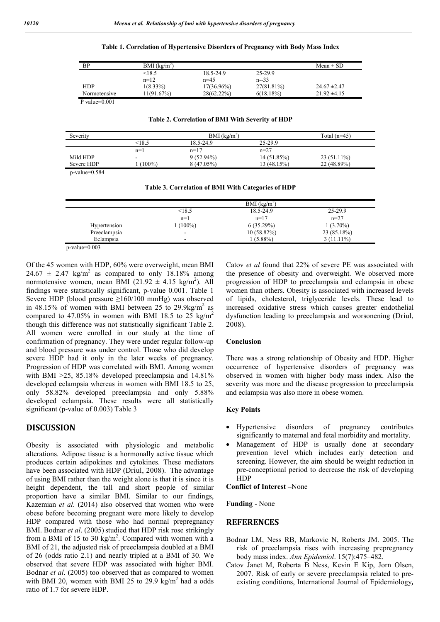| Table 1. Correlation of Hypertensive Disorders of Pregnancy with Body Mass Index |  |  |
|----------------------------------------------------------------------------------|--|--|
|                                                                                  |  |  |

| ΒP               | BMI (kg/m <sup>2</sup> ) |               |              | Mean $\pm$ SD    |
|------------------|--------------------------|---------------|--------------|------------------|
|                  | < 18.5                   | 18.5-24.9     | 25-29.9      |                  |
|                  | $n=12$                   | $n=4.5$       | $n - 33$     |                  |
| <b>HDP</b>       | $1(8.33\%)$              | $17(36.96\%)$ | 27(81.81%)   | $24.67 \pm 2.47$ |
| Normotensive     | 11(91.67%)               | 28(62.22%)    | $6(18.18\%)$ | $21.92 \pm 4.15$ |
| P value= $0.001$ |                          |               |              |                  |

#### **Table 2. Correlation of BMI With Severity of HDP**

| Severity   | BMI $(kg/m^2)$           |              |             | Total $(n=45)$ |
|------------|--------------------------|--------------|-------------|----------------|
|            | <18.5                    | 18.5-24.9    | 25-29.9     |                |
|            | $n=1$                    | $n=17$       | $n=27$      |                |
| Mild HDP   | $\overline{\phantom{a}}$ | $9(52.94\%)$ | 14 (51.85%) | $23(51.11\%)$  |
| Severe HDP | $100\%$                  | 8 (47.05%)   | 13 (48.15%) | 22 (48.89%)    |

p-value=0.584

**Table 3. Correlation of BMI With Categories of HDP**

|              |           | $BMI$ (kg/m <sup>2</sup> ) |              |
|--------------|-----------|----------------------------|--------------|
|              | < 18.5    | 18.5-24.9                  | 25-29.9      |
|              | $n=1$     | $n=17$                     | $n=27$       |
| Hypertension | $(100\%)$ | 6(35.29%)                  | $1(3.70\%)$  |
| Preeclampsia | -         | $10(58.82\%)$              | 23 (85.18%)  |
| Eclampsia    | -         | $1(5.88\%)$                | $3(11.11\%)$ |
|              |           |                            |              |

p-value=0.003

Of the 45 women with HDP, 60% were overweight, mean BMI  $24.67 \pm 2.47$  kg/m<sup>2</sup> as compared to only 18.18% among normotensive women, mean BMI  $(21.92 \pm 4.15 \text{ kg/m}^2)$ . All findings were statistically significant, p-value 0.001. Table 1 Severe HDP (blood pressure ≥160/100 mmHg) was observed in 48.15% of women with BMI between 25 to 29.9kg/m<sup>2</sup> as compared to 47.05% in women with BMI 18.5 to 25 kg/m<sup>2</sup> though this difference was not statistically significant Table 2. All women were enrolled in our study at the time of confirmation of pregnancy. They were under regular follow-up and blood pressure was under control. Those who did develop severe HDP had it only in the later weeks of pregnancy. Progression of HDP was correlated with BMI. Among women with BMI >25, 85.18% developed preeclampsia and 14.81% developed eclampsia whereas in women with BMI 18.5 to 25, only 58.82% developed preeclampsia and only 5.88% developed eclampsia. These results were all statistically significant (p-value of 0.003) Table 3

### **DISCUSSION**

Obesity is associated with physiologic and metabolic alterations. Adipose tissue is a hormonally active tissue which produces certain adipokines and cytokines. These mediators have been associated with HDP (Driul, 2008). The advantage of using BMI rather than the weight alone is that it is since it is height dependent, the tall and short people of similar proportion have a similar BMI. Similar to our findings, Kazemian *et al*. (2014) also observed that women who were obese before becoming pregnant were more likely to develop HDP compared with those who had normal prepregnancy BMI. Bodnar *et al.* (2005) studied that HDP risk rose strikingly from a BMI of 15 to 30  $\text{kg/m}^2$ . Compared with women with a BMI of 21, the adjusted risk of preeclampsia doubled at a BMI of 26 (odds ratio 2.1) and nearly tripled at a BMI of 30. We observed that severe HDP was associated with higher BMI. Bodnar *et al*. (2005) too observed that as compared to women with BMI 20, women with BMI 25 to 29.9  $\text{kg/m}^2$  had a odds ratio of 1.7 for severe HDP.

Catov *et al* found that 22% of severe PE was associated with the presence of obesity and overweight. We observed more progression of HDP to preeclampsia and eclampsia in obese women than others. Obesity is associated with increased levels of lipids, cholesterol, triglyceride levels. These lead to increased oxidative stress which causes greater endothelial dysfunction leading to preeclampsia and worsonening (Driul, 2008).

### **Conclusion**

There was a strong relationship of Obesity and HDP. Higher occurrence of hypertensive disorders of pregnancy was observed in women with higher body mass index. Also the severity was more and the disease progression to preeclampsia and eclampsia was also more in obese women.

### **Key Points**

- Hypertensive disorders of pregnancy contributes significantly to maternal and fetal morbidity and mortality.
- Management of HDP is usually done at secondary prevention level which includes early detection and screening. However, the aim should be weight reduction in pre-conceptional period to decrease the risk of developing **HDP**

### **Conflict of Interest –**None

**Funding** - None

### **REFERENCES**

- Bodnar LM, Ness RB, Markovic N, Roberts JM. 2005. The risk of preeclampsia rises with increasing prepregnancy body mass index. *Ann Epidemiol*. 15(7):475–482.
- Catov Janet M, Roberta B Ness, Kevin E Kip, Jorn Olsen, 2007. Risk of early or severe preeclampsia related to preexisting conditions, International Journal of Epidemiology*,*